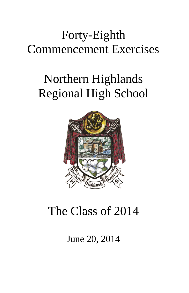## Forty-Eighth Commencement Exercises

# Northern Highlands Regional High School



# The Class of 2014

June 20, 2014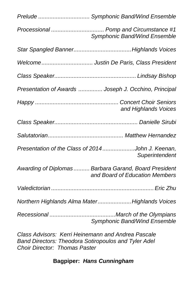|                                                    | Prelude  Symphonic Band/Wind Ensemble                                                   |  |
|----------------------------------------------------|-----------------------------------------------------------------------------------------|--|
|                                                    | Processional  Pomp and Circumstance #1<br>Symphonic Band/Wind Ensemble                  |  |
|                                                    |                                                                                         |  |
|                                                    | Welcome Justin De Paris, Class President                                                |  |
|                                                    |                                                                                         |  |
|                                                    | Presentation of Awards  Joseph J. Occhino, Principal                                    |  |
|                                                    | and Highlands Voices                                                                    |  |
|                                                    |                                                                                         |  |
|                                                    |                                                                                         |  |
|                                                    | Presentation of the Class of 2014John J. Keenan,<br>Superintendent                      |  |
|                                                    | Awarding of Diplomas  Barbara Garand, Board President<br>and Board of Education Members |  |
|                                                    |                                                                                         |  |
|                                                    | Northern Highlands Alma MaterHighlands Voices                                           |  |
|                                                    | <b>Symphonic Band/Wind Ensemble</b>                                                     |  |
| Class Advisors: Kerri Heinemann and Andrea Pascale |                                                                                         |  |

*Band Directors: Theodora Sotiropoulos and Tyler Adel Choir Director: Thomas Paster*

### **Bagpiper:** *Hans Cunningham*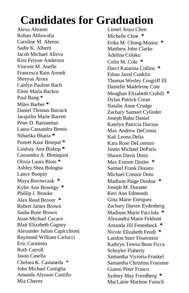### **Candidates for Graduation**

Alexa Abrams Rohan Ahluwalia Caroline M. Ahrens Sadie K. Alberti Jacob Michael Alleva Kira Feiyun Anderson Vincent M. Anelle Francesca Rain Arendt Shreyaa Arora Caitlyn Pauline Bach Eleni Maria Backos Paul Bang **\*** Miles Barber **\*** Daniel Thomas Barrack Jacquilin Marie Barrett Peter D. Barsamian Laura Cassandra Bemis Niharika Bhatia **\*** Puneet Kaur Binepal **\*** Lindsay Ann Bishop **\*** Cassandra A. Blomquist Olivia Laura Blute **\*** Ashley Shea Bologna Lance Bonpin Maya Borowczak **\*** Kylie Ann Bouregy **\*** Phillip J. Brooke Alex Reed Brover **\*** Robert James Brown Sasha Rose Brown Jesse Michael Cacace Blair Elizabeth Cagney Alexander Julian Capicchioni Raymond William Carlucci Eric Carminio Ruth Carroll Jason Casella Chelsea K. Castaneda \* John Michael Castiglia Amanda Alysson Castillo Mia Chavez

Lionel Anyu Chen Michelle Choe **\*** Erika M. Chong-Munoz **\*** Matthew John Clarke Adelina Colaku Colin M. Cole **\*** Darci Katarina Collins **\*** Ethan Jared Conklin Thomas Wesley Cosgriff III Danielle Madeleine Cote Meaghan Elizabeth Crabill **\*** Dylan Patrick Crean Natalie Anne Crudge Zachary Samuel Cylinder Joseph Babu Daniel Katelyn Patricia Davino Max Andrew DeCrosta Kali Leona Delia Kara Rose DeLorenzo Justin Michael DeParis Shawn Davis Diniz Max Everett Distler **\*** Samuel Frank Donato Michael Connor Doto Madison Paige Dunbar **\*** Joseph M. Durante Keri Ann Edmonds Gina Marie Enriquez Zachary Darren Eydenberg Madison Marie Facciola **\*** Alexandra Marie Feldsott Amanda Jill Fenenbock **\*** Nicole Elizabeth Feudi **\*** Landon Starr Feuerstein Kathryn Teresa Bean Ficca Schuyler Flaherty Samantha Victoria Frankel Samantha Christina Franzese Gianni Peter Frasco Sydney May Freedberg **\*** MacLaine Marlene Funsch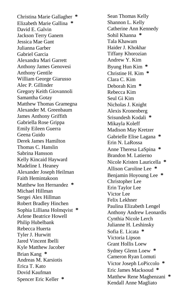Christina Marie Gallagher **\*** Elizabeth Marie Gallina **\*** David E. Galvin Jackson Terry Ganem Jessica Mae Gant Julianna Garber Gabriel Garcia Alexandra Mari Garrett Anthony James Genovesi Anthony Gentile William George Giarusso Alec P. Gillinder Gregory Keith Giovannoli Samantha Gotay Matthew Thomas Gramegna Alexander M. Greenbaum James Anthony Griffith Gabriella Rose Grippa Emily Eileen Guerra Geena Guido Derek James Hamilton Thomas C. Hanslin Sabrina Hansson Kelly Kincaid Hayward Madeline I. Heaney Alexander Joseph Heilman Faith Hemintakoon Matthew Ion Hernandez **\*** Michael Hillman Sergei Alex Hillman Robert Bradley Hinchen Sophia Lilliana Holmqvist **\*** Arlene Beatrice Howell Philip Hubelbank Rebecca Huerta Tyler J. Hurwitt Jared Vincent Ibelli Kyle Matthew Jacober Brian Kang **\*** Andreas M. Karsiotis Erica T. Kato Dovid Kaufman Spencer Eric Keller **\***

Sean Thomas Kelly Shannon L. Kelly Catherine Ann Kennedy Sohil Khanna **\*** Tala Khawam Haider J. Khokhar Tiffany Khorozian Andrew Y. Kim Byung Hun Kim **\*** Christine H. Kim **\*** Clara C. Kim Deborah Kim **\*** Rebecca Kim Seul Gi Kim Nicholas J. Knight Alexis Kronenberg Srisundesh Kodali **\*** Mikayla Koleff Madison May Kretzer Gabrielle Elise Lagana **\*** Erin N. LaRossa Anne Theresa LaSpina **\*** Brandon M. Latierno Nicole Kristen Lauricella **\*** Allison Caroline Lee **\*** Benjamin Hoyoung Lee **\*** Christopher Lee Erin Taylor Lee Victor Lee Felix Lekhner Paulina Elizabeth Lengel Anthony Andrew Leonardis Cynthia Nicole Lerch Julianne H. Leshinsky Sofia E. Licata **\*** Victoria Lipson Grant Hollis Loew Sydney Glenn Loew **\*** Cameron Ryan Lomuti Victor Joseph LoPiccolo **\*** Eric James Macksou d **\*** Matthew Rene Maghenzani **\*** Kendall Anne Magliato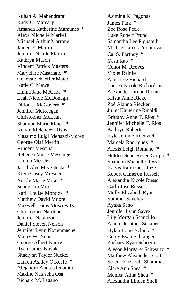Kuhan A. Mahendraraj Rudy U. Mamary Amanda Katherine Mamunes **\*** Alexa Michelle Markel Michael Arthur Marrone Jaiden E. Martin Jennifer Nicole Martin Kathryn Mason Vincent Patrick Masters Maryclare Mastriano **\*** Geneva Schaeffer Mateo Katie C. Mawe Emma Jane McCabe **\*** Leah Nicole McDonagh Dillon J. McGovern **\*** Jennifer McKeegan Christopher McLean Shannon Marie Meier **\*** Kelvin Melendez-Rivas Massimo Luigi Menazzi-Moretti George Olaf Merritt Vincent Messina Rebecca Marie Messinger Lauren Messler Jared Alec Mezzatesta **\*** Kiera Casey Miesner Nicole Marie Miko **\*** Seung Jun Min Karli Louise Montick **\*** Matthew David Moore Maxwell Louis Moscowitz Christopher Nardone Jennifer Natanzon Daniel Steven Nelson Jennifer Lynn Nonenmacher Maury W. Noun George Albert Noury Ryan James Novak Shaelynn Taylor Nuckel Lauren Ashley O'Keefe **\*** Alejandro Andres Onorato Maxine Natascha Osa Richard M. Pagano

Asimina K. Pagonas James Park **\*** Zoe Rose Peck Luke Robert Pfund Samantha Lee Pignatelli Michael James Portanova Cal S. Portnoy **\*** Yash Rao **\*** Conor M. Reeves Violet Reinke Anna Lee Richard Lauren Nicole Richardson Alexander Jordan Richin Krista Anne Ricke Zoé Alanna Riecker Juliet Katherine Rinaldi Brittany Anne T. Rios **\*** Jennifer Michelle T. Rios Kathryn Roberts Kyle Jerome Rocovich Marcela Rodriguez **\*** Alexis Leigh Romano **\*** Holden Scott Rosen Grupp **\*** Shannon Michelle Rossi Kalvis Raimonds Roze Robert Cameron Russell Alexandra Nicole Russo Carlo Jose Russo Molly Elizabeth Ryan Summer Sanchez Ayaka Sano Jennifer Lynn Sayre Lily Morgan Scanzillo Alana Dorothea Schauer Dylan Louis Schick **\*** Corey Evan Schlanger Zachary Ryan Schoem Alyson Margaret Schwartz **\*** Matthew Alexander Scotti Serena Elizabeth Shammas Clare Ann Shea **\*** Monica Alina Shea **\*** Alexandra Linden Shell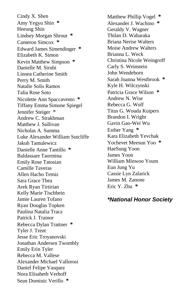Cindy X. Shen Amy Yegyu Shin **\*** Heeung Shin Lindsey Morgan Shrout **\*** Cameron Simcox **\*** Edward James Simendinger **\*** Elizabeth K. Simon Kevin Matthew Simpson **\*** Danielle M. Sirubi Linnea Catherine Smith Perry M. Smith Natalie Solis Ramos Talia Rose Soto Nicolette Ann Spaccavento **\*** Tiffany Emma Simone Spiegel Jennifer Steiger \* Andrew C. Strakhman Matthew J. Sullivan Nicholas A. Summa Luke Alexander William Sutcliffe Jakub Tamulewicz Danielle Anne Tantillo **\*** Baldassare Taormina Emily Rose Tatosian Camille Taveras Allen Hacho Temiz Sara Grace Thea Arek Ryan Tirtirian Kelly Marie Tischbein Jamie Lauren Tofano Ryan Douglas Topken Paulina Natalia Tracz Patrick J. Trainor Rebecca Dylan Trattner **\*** Tyler J. Trent Jesse Eric Troyanovski Jonathan Andersen Twombly Emily Erin Tyler Rebecca M. Vallese Alexander Michael Vallorosi Daniel Felipe Vasquez Nora Elisabeth Verhoff Sean Dominic Verillo **\***

Matthew Phillip Vogel **\*** Alexander J. Wachino **\*** Geraldy V. Wagner Thilan D. Waharaka Briana Nerise Walters Moise Andrew Walters Brianna L. Weck Christina Nicole Weingroff Carly S. Weinstein John Wendeborn Sarah Joanna Westbrook **\*** Kyle H. Wilczynski Patricia Grace Wilson **\*** Andrew N. Wise Rebecca G. Wolf Titus G. Wouda Kuipers Brandon I. Wright Gavin Gao-Wei Wu Esther Yang **\*** Kara Elizabeth Yevchak Yochevet Meesun Yoo **\*** HaeSung Yoon James Yoon William Minwoo Youm Eun Jung Yu Cassie Lyn Zalarick James M. Zanone Eric Y. Zhu **\***

#### *\*National Honor Society*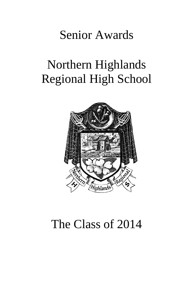### Senior Awards

# Northern Highlands Regional High School



### The Class of 2014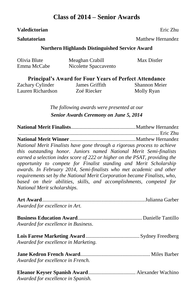#### **Class of 2014 – Senior Awards**

#### **Valedictorian** .................................................................................... Eric Zhu

**Salutatorian** ....................................................................Matthew Hernandez

#### **Northern Highlands Distinguished Service Award**

| Olivia Blute | Meaghan Crabill       | Max Distler |
|--------------|-----------------------|-------------|
| Emma McCabe  | Nicolette Spaccavento |             |

**Principal's Award for Four Years of Perfect Attendance**

Zachary Cylinder Lauren Richardson James Griffith Zoé Riecker

Shannon Meier Molly Ryan

*The following awards were presented at our Senior Awards Ceremony on June 5, 2014*

**National Merit Finalists**.................................................Matthew Hernandez ...........................................................................................................Eric Zhu **National Merit Winner** ..................................................Matthew Hernandez *National Merit Finalists have gone through a rigorous process to achieve this outstanding honor. Juniors named National Merit Semi-finalists earned a selection index score of 222 or higher on the PSAT, providing the opportunity to compete for Finalist standing and Merit Scholarship awards. In February 2014, Semi-finalists who met academic and other requirements set by the National Merit Corporation became Finalists, who, based on their abilities, skills, and accomplishments, competed for National Merit scholarships*.

| Awarded for excellence in Art.       |  |
|--------------------------------------|--|
| Awarded for excellence in Business.  |  |
| Awarded for excellence in Marketing. |  |
| Awarded for excellence in French.    |  |
| Awarded for excellence in Spanish.   |  |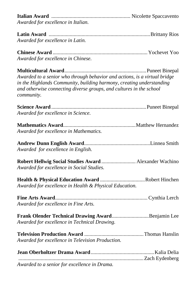**Italian Award** ............................................................ Nicolette Spaccavento *Awarded for excellence in Italian.*

**Latin Award** .............................................................................Brittany Rios *Awarded for excellence in Latin.*

**Chinese Award** ........................................................................Yochevet Yoo *Awarded for excellence in Chinese.*

**Multicultural Award**..............................................................Puneet Binepal *Awarded to a senior who through behavior and actions, is a virtual bridge in the Highlands Community, building harmony, creating understanding and otherwise connecting diverse groups, and cultures in the school community.*

**Science Award** ........................................................................Puneet Binepal *Awarded for excellence in Science.*

**Mathematics Award**.......................................................Matthew Hernandez *Awarded for excellence in Mathematics.*

**Andrew Dunn English Award**..................................................Linnea Smith *Awarded for excellence in English.*

**Robert Hellwig Social Studies Award** .......................... Alexander Wachino *Awarded for excellence in Social Studies.*

**Health & Physical Education Award** ..................................Robert Hinchen *Awarded for excellence in Health & Physical Education.*

**Fine Arts Award**...................................................................... Cynthia Lerch *Awarded for excellence in Fine Arts.*

**Frank Olender Technical Drawing Award**............................Benjamin Lee *Awarded for excellence in Technical Drawing.*

**Television Production Award** .............................................Thomas Hanslin *Awarded for excellence in Television Production.*

| Awarded to a senior for excellence in Drama. |  |
|----------------------------------------------|--|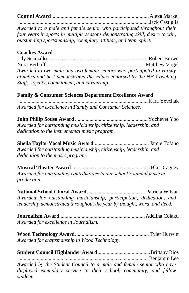**Contini Award**.......................................................................... Alexa Markel

...................................................................................................Jack Castiglia *Awarded to a male and female senior who participated throughout their four years in sports in multiple seasons demonstrating skill, desire to win, outstanding sportsmanship, exemplary attitude, and team spirit.*

#### **Coaches Award.**

Lily Scanzillo............................................................................ Robert Brown Nora Verhoff........................................................................... Matthew Vogel *Awarded to two male and two female seniors who participated in varsity athletics and best demonstrated the values endorsed by the NH Coaching Staff: loyalty, commitment, and citizenship.*

#### **Family & Consumer Sciences Department Excellence Award**

.................................................................................................. Kara Yevchak *Awarded for excellence in Family and Consumer Sciences.*

**John Philip Sousa Award** .......................................................Yochevet Yoo *Awarded for outstanding musicianship, citizenship, leadership, and dedication to the instrumental music program.* 

**Sheila Taylor Vocal Music Award**.......................................... Jamie Tofano *Awarded for outstanding musicianship, citizenship, leadership, and dedication to the music program.*

**Musical Theater Award**............................................................Blair Cagney *Awarded for outstanding contributions to our school's annual musical production.*

**National School Choral Award**............................................ Patricia Wilson *Awarded for outstanding musicianship, participation, dedication, and leadership demonstrated throughout the year by thought, word, and deed.*

**Journalism Award** ................................................................Adelina Colaku *Awarded for excellence in Journalism.*

**Wood Technology Award**........................................................ Tyler Hurwitt *Awarded for craftsmanship in Wood Technology.*

| Awarded by the Student Council to a male and female senior who have |  |
|---------------------------------------------------------------------|--|
| displayed exemplary service to their school, community, and fellow  |  |
| students.                                                           |  |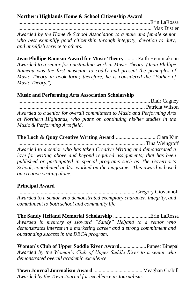**Northern Highlands Home & School Citizenship Award**

....................................................................................................Erin LaRossa ......................................................................................................Max Distler *Awarded by the Home & School Association to a male and female senior who best exemplify good citizenship through integrity, devotion to duty, and unselfish service to others.*

**Jean Phillipe Rameau Award for Music Theory** ......... Faith Hemintakoon *Awarded to a senior for outstanding work in Music Theory. (Jean Phillipe Rameau was the first musician to codify and present the principles of Music Theory in book form; therefore, he is considered the "Father of Music Theory.")*

#### **Music and Performing Arts Association Scholarship**.

....................................................................................................Blair Cagney ................................................................................................ Patricia Wilson *Awarded to a senior for overall commitment to Music and Performing Arts at Northern Highlands, who plans on continuing his/her studies in the Music & Performing Arts field.*

**The Loch & Quay Creative Writing Award** .............................. Clara Kim ................................................................................................ Tina Weingroff *Awarded to a senior who has taken Creative Writing and demonstrated a love for writing above and beyond required assignments; that has been published or participated in special programs such as The Governor's School, contributed and/or worked on the magazine. This award is based on creative writing alone.*

#### **Principal Award**.

.........................................................................................Gregory Giovannoli *Awarded to a senior who demonstrated exemplary character, integrity, and commitment to both school and community life.*

**The Sandy Helfand Memorial Scholarship** ............................Erin LaRossa *Awarded in memory of Howard "Sandy" Helfand to a senior who demonstrates interest in a marketing career and a strong commitment and outstanding success in the DECA program.*

**Woman's Club of Upper Saddle River Award**....................Puneet Binepal *Awarded by the Woman's Club of Upper Saddle River to a senior who demonstrated overall academic excellence.*

**Town Journal Journalism Award** ..................................... Meaghan Crabill *Awarded by the Town Journal for excellence in Journalism.*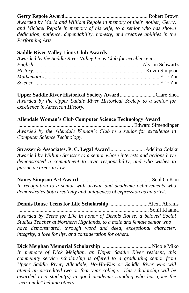#### **Gerry Repole Award**............................................................... Robert Brown

*Awarded by Maria and William Repole in memory of their mother, Gerry, and Michael Repole in memory of his wife, to a senior who has shown dedication, patience, dependability, honesty, and creative abilities in the Performing Arts.*

#### **Saddle River Valley Lions Club Awards**

| Awarded by the Saddle River Valley Lions Club for excellence in: |  |
|------------------------------------------------------------------|--|
|                                                                  |  |
|                                                                  |  |
|                                                                  |  |
|                                                                  |  |

**Upper Saddle River Historical Society Award**...........................Clare Shea *Awarded by the Upper Saddle River Historical Society to a senior for excellence in American History.*

#### **Allendale Woman's Club Computer Science Technology Award**

....................................................................................... Edward Simendinger *Awarded by the Allendale Woman's Club to a senior for excellence in Computer Science Technology.*

**Strasser & Associates, P. C. Legal Award** ..........................Adelina Colaku *Awarded by William Strasser to a senior whose interests and actions have demonstrated a commitment to civic responsibility, and who wishes to pursue a career in law.*

**Nancy Simpson Art Award** ......................................................Seul Gi Kim *In recognition to a senior with artistic and academic achievements who demonstrates both creativity and uniqueness of expression as an artist.*

**Dennis Rouse Teens for Life Scholarship** .............................Alexa Abrams ................................................................................................... Sohil Khanna *Awarded by Teens for Life in honor of Dennis Rouse, a beloved Social Studies Teacher at Northern Highlands, to a male and female senior who have demonstrated, through word and deed, exceptional character, integrity, a love for life, and consideration for others.*

**Dick Meighan Memorial Scholarship** ......................................Nicole Miko Christina Sonageri *In memory of Dick Meighan, an Upper Saddle River resident, this community service scholarship is offered to a graduating senior from Upper Saddle River, Allendale, Ho-Ho-Kus or Saddle River who will attend an accredited two or four year college. This scholarship will be awarded to a student(s) in good academic standing who has gone the "extra mile" helping others.*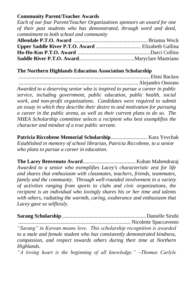#### **Community Parent/Teacher Awards**

*Each of our four Parent/Teacher Organizations sponsors an award for one of their past students who has demonstrated, through word and deed, commitment to both school and community*

#### **The Northern Highlands Education Association Scholarship**

....................................................................................................Eleni Backos ........................................................................................... Alejandro Onorato

*Awarded to a deserving senior who is inspired to pursue a career in public service, including government, public education, public health, social work, and non-profit organizations. Candidates were required to submit an essay in which they describe their desire to and motivation for pursuing a career in the public arena, as well as their current plans to do so. The NHEA Scholarship committee selects a recipient who best exemplifies the character and mindset of a true public servant.*

**Patricia Riccobene Memorial Scholarship**............................ Kara Yevchak *Established in memory of school librarian, Patricia Riccobene, to a senior who plans to pursue a career in education.*

**The Lacey Benvenuto Award**........................................ Kuhan Mahendraraj *Awarded to a senior who exemplifies Lacey's characteristic zest for life and shares that enthusiasm with classmates, teachers, friends, teammates, family and the community. Through well-rounded involvement in a variety of activities ranging from sports to clubs and civic organizations, the recipient is an individual who lovingly shares his or her time and talents with others, radiating the warmth, caring, exuberance and enthusiasm that Lacey gave so selflessly.*

**Sarang Scholarship** ................................................................Danielle Sirubi ..................................................................................... Nicolette Spaccavento

*"Sarang" in Korean means love. This scholarship recognition is awarded to a male and female student who has consistently demonstrated kindness, compassion, and respect towards others during their time at Northern Highlands.* 

*"A loving heart is the beginning of all knowledge." ~Thomas Carlyle*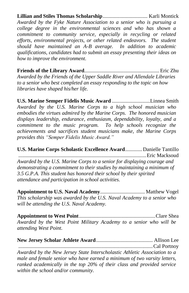**Lillian and Stiles Thomas Scholarship**.................................. Karli Montick *Awarded by the Fyke Nature Association to a senior who is pursuing a college degree in the environmental sciences and who has shown a commitment to community service, especially in recycling or related efforts, environmental projects, or other related endeavors. The student should have maintained an A-B average. In addition to academic qualifications, candidates had to submit an essay presenting their ideas on how to improve the environment.*

**Friends of the Library Award**......................................................... Eric Zhu *Awarded by the Friends of the Upper Saddle River and Allendale Libraries to a senior who best completed an essay responding to the topic on how libraries have shaped his/her life.*

**U.S. Marine Semper Fidelis Music Award** .............................Linnea Smith *Awarded by the U.S. Marine Corps to a high school musician who embodies the virtues admired by the Marine Corps. The honored musician displays leadership, endurance, enthusiasm, dependability, loyalty, and a commitment to the music program. To help schools recognize the achievements and sacrifices student musicians make, the Marine Corps provides this "Semper Fidelis Music Award."* 

**U.S. Marine Corps Scholastic Excellence Award**.............Danielle Tantillo .................................................................................................Eric Macksoud *Awarded by the U.S. Marine Corps to a senior for displaying courage and demonstrating a commitment to their studies by maintaining a minimum of 3.5 G.P.A. This student has honored their school by their spirited attendance and participation in school activities.* 

**Appointment to U.S. Naval Academy**.................................. Matthew Vogel *This scholarship was awarded by the U.S. Naval Academy to a senior who will be attending the U.S. Naval Academy.* 

**Appointment to West Point**..........................................................Clare Shea *Awarded by the West Point Military Academy to a senior who will be attending West Point.*

**New Jersey Scholar Athlete Award**........................................... Allison Lee ......................................................................................................Cal Portnoy *Awarded by the New Jersey State Interscholastic Athletic Association to a male and female senior who have earned a minimum of two varsity letters, ranked academically in the top 20% of their class and provided service within the school and/or community.*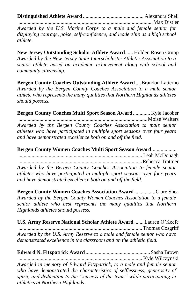**Distinguished Athlete Award** .............................................. Alexandra Shell ......................................................................................................Max Distler

*Awarded by the U.S. Marine Corps to a male and female senior for displaying courage, poise, self-confidence, and leadership as a high school athlete.*

**New Jersey Outstanding Scholar Athlete Award**...... Holden Rosen Grupp *Awarded by the New Jersey State Interscholastic Athletic Association to a senior athlete based on academic achievement along with school and community citizenship.*

**Bergen County Coaches Outstanding Athlete Award** ....Brandon Latierno *Awarded by the Bergen County Coaches Association to a male senior athlete who represents the many qualities that Northern Highlands athletes should possess.*

**Bergen County Coaches Multi Sport Season Award**............. Kyle Jacober ..................................................................................................Moise Walters *Awarded by the Bergen County Coaches Association to male senior athletes who have participated in multiple sport seasons over four years and have demonstrated excellence both on and off the field.*

**Bergen County Women Coaches Multi Sport Season Award...................** .............................................................................................. Leah McDonagh ..............................................................................................Rebecca Trattner *Awarded by the Bergen County Coaches Association to female senior athletes who have participated in multiple sport seasons over four years and have demonstrated excellence both on and off the field.*

**Bergen County Women Coaches Association Award**................Clare Shea *Awarded by the Bergen County Women Coaches Association to a female senior athlete who best represents the many qualities that Northern Highlands athletes should possess.*

**U.S. Army Reserve National Scholar Athlete Award** ....... Lauren O'Keefe ..............................................................................................Thomas Cosgriff *Awarded by the U.S. Army Reserve to a male and female senior who have demonstrated excellence in the classroom and on the athletic field.* 

**Edward N. Fitzpatrick Award**.................................................Sasha Brown .............................................................................................. Kyle Wilczynski *Awarded in memory of Edward Fitzpatrick, to a male and female senior who have demonstrated the characteristics of selflessness, generosity of spirit, and dedication to the "success of the team" while participating in athletics at Northern Highlands.*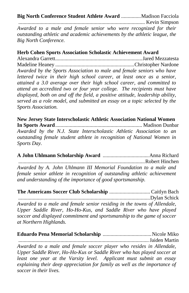**Big North Conference Student Athlete Award** ...............Madison Facciola ................................................................................................ Kevin Simpson *Awarded to a male and female senior who were recognized for their outstanding athletic and academic achievements by the athletic league, the Big North Conference.*

#### **Herb Cohen Sports Association Scholastic Achievement Award**

Alexandra Garrett..................................................................Jared Mezzatesta Madeline Heaney ............................................................Christopher Nardone *Awarded by the Sports Association to male and female seniors who have lettered twice in their high school career, at least once as a senior, attained a 3.0 average over their high school career, and committed to attend an accredited two or four year college. The recipients must have displayed, both on and off the field, a positive attitude, leadership ability, served as a role model, and submitted an essay on a topic selected by the Sports Association.*

**New Jersey State Interscholastic Athletic Association National Women In Sports Award**.................................................................. Madison Dunbar

*Awarded by the N.J. State Interscholastic Athletic Association to an outstanding female student athlete in recognition of National Women in Sports Day.*

**A John Uhlmann Scholarship Award** ...................................Anna Richard ................................................................................................Robert Hinchen *Awarded by A. John Uhlmann III Memorial Foundation to a male and female senior athlete in recognition of outstanding athletic achievement and understanding of the importance of good sportsmanship.*

**The Americans Soccer Club Scholarship** ............................... Caitlyn Bach *....................................................................................................*Dylan Schick *Awarded to a male and female senior residing in the towns of Allendale, Upper Saddle River, Ho-Ho-Kus, and Saddle River who have played soccer and displayed commitment and sportsmanship to the game of soccer at Northern Highlands.*

**Eduardo Pena Memorial Scholarship** .....................................Nicole Miko ...................................................................................................Jaiden Martin *Awarded to a male and female soccer player who resides in Allendale, Upper Saddle River, Ho-Ho-Kus or Saddle River who has played soccer at least one year at the Varsity level. Applicant must submit an essay explaining their deep appreciation for family as well as the importance of soccer in their lives.*